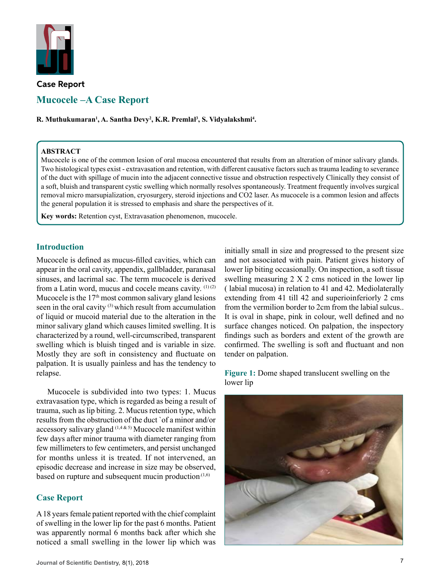

# **Case Report Mucocele –A Case Report**

 $\mathbf{R}.$  Muthukumaran<sup>1</sup>, A. Santha Devy<sup>2</sup>, K.R. Premlal<sup>3</sup>, S. Vidyalakshmi<sup>4</sup>.

### **ABSTRACT**

Mucocele is one of the common lesion of oral mucosa encountered that results from an alteration of minor salivary glands. Two histological types exist - extravasation and retention, with different causative factors such as trauma leading to severance of the duct with spillage of mucin into the adjacent connective tissue and obstruction respectively Clinically they consist of a soft, bluish and transparent cystic swelling which normally resolves spontaneously. Treatment frequently involves surgical removal micro marsupialization, cryosurgery, steroid injections and CO2 laser. As mucocele is a common lesion and affects the general population it is stressed to emphasis and share the perspectives of it.

**Key words:** Retention cyst, Extravasation phenomenon, mucocele.

### **Introduction**

Mucocele is defined as mucus-filled cavities, which can appear in the oral cavity, appendix, gallbladder, paranasal sinuses, and lacrimal sac. The term mucocele is derived from a Latin word, mucus and cocele means cavity.  $(1)(2)$ Mucocele is the  $17<sup>th</sup>$  most common salivary gland lesions seen in the oral cavity <sup>(3)</sup> which result from accumulation of liquid or mucoid material due to the alteration in the minor salivary gland which causes limited swelling. It is characterized by a round, well-circumscribed, transparent swelling which is bluish tinged and is variable in size. Mostly they are soft in consistency and fluctuate on palpation. It is usually painless and has the tendency to relapse.

Mucocele is subdivided into two types: 1. Mucus extravasation type, which is regarded as being a result of trauma, such as lip biting. 2. Mucus retention type, which results from the obstruction of the duct `of a minor and/or accessory salivary gland  $(1,4,8,5)$  Mucocele manifest within few days after minor trauma with diameter ranging from few millimeters to few centimeters, and persist unchanged for months unless it is treated. If not intervened, an episodic decrease and increase in size may be observed, based on rupture and subsequent mucin production<sup>(1,6)</sup>

# **Case Report**

A 18 years female patient reported with the chief complaint of swelling in the lower lip for the past 6 months. Patient was apparently normal 6 months back after which she noticed a small swelling in the lower lip which was

initially small in size and progressed to the present size and not associated with pain. Patient gives history of lower lip biting occasionally. On inspection, a soft tissue swelling measuring 2 X 2 cms noticed in the lower lip ( labial mucosa) in relation to 41 and 42. Mediolaterally extending from 41 till 42 and superioinferiorly 2 cms from the vermilion border to 2cm from the labial sulcus.. It is oval in shape, pink in colour, well defined and no surface changes noticed. On palpation, the inspectory findings such as borders and extent of the growth are confirmed. The swelling is soft and fluctuant and non tender on palpation.

**Figure 1:** Dome shaped translucent swelling on the lower lip

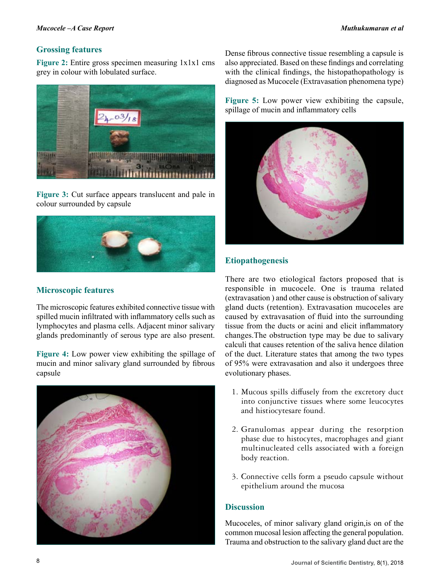# **Grossing features**

**Figure 2:** Entire gross specimen measuring 1x1x1 cms grey in colour with lobulated surface.



**Figure 3:** Cut surface appears translucent and pale in colour surrounded by capsule



# **Microscopic features**

The microscopic features exhibited connective tissue with spilled mucin infiltrated with inflammatory cells such as lymphocytes and plasma cells. Adjacent minor salivary glands predominantly of serous type are also present.

**Figure 4:** Low power view exhibiting the spillage of mucin and minor salivary gland surrounded by fibrous capsule



Dense fibrous connective tissue resembling a capsule is also appreciated. Based on these findings and correlating with the clinical findings, the histopathopathology is diagnosed as Mucocele (Extravasation phenomena type)

**Figure 5:** Low power view exhibiting the capsule, spillage of mucin and inflammatory cells



# **Etiopathogenesis**

There are two etiological factors proposed that is responsible in mucocele. One is trauma related (extravasation ) and other cause is obstruction of salivary gland ducts (retention). Extravasation mucoceles are caused by extravasation of fluid into the surrounding tissue from the ducts or acini and elicit inflammatory changes.The obstruction type may be due to salivary calculi that causes retention of the saliva hence dilation of the duct. Literature states that among the two types of 95% were extravasation and also it undergoes three evolutionary phases.

- 1. Mucous spills diffusely from the excretory duct into conjunctive tissues where some leucocytes and histiocytesare found.
- 2. Granulomas appear during the resorption phase due to histocytes, macrophages and giant multinucleated cells associated with a foreign body reaction.
- 3. Connective cells form a pseudo capsule without epithelium around the mucosa

# **Discussion**

Mucoceles, of minor salivary gland origin,is on of the common mucosal lesion affecting the general population. Trauma and obstruction to the salivary gland duct are the